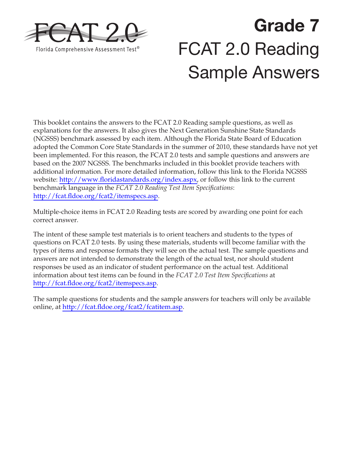

# **Grade 7**  FCAT 2.0 Reading Sample Answers

This booklet contains the answers to the FCAT 2.0 Reading sample questions, as well as explanations for the answers. It also gives the Next Generation Sunshine State Standards (NGSSS) benchmark assessed by each item. Although the Florida State Board of Education adopted the Common Core State Standards in the summer of 2010, these standards have not yet been implemented. For this reason, the FCAT 2.0 tests and sample questions and answers are based on the 2007 NGSSS. The benchmarks included in this booklet provide teachers with additional information. For more detailed information, follow this link to the Florida NGSSS website: [http://www.floridastandards.org/index.aspx,](http://www.floridastandards.org/index.aspx) or follow this link to the current benchmark language in the *FCAT 2.0 Reading Test Item Specifications*: [http://fcat.fldoe.org/fcat2/itemspecs.asp.](http://fcat.fldoe.org/fcat2/itemspecs.asp)

Multiple-choice items in FCAT 2.0 Reading tests are scored by awarding one point for each correct answer.

The intent of these sample test materials is to orient teachers and students to the types of questions on FCAT 2.0 tests. By using these materials, students will become familiar with the types of items and response formats they will see on the actual test. The sample questions and answers are not intended to demonstrate the length of the actual test, nor should student responses be used as an indicator of student performance on the actual test. Additional information about test items can be found in the *FCAT 2.0 Test Item Specifications* at <http://fcat.fldoe.org/fcat2/itemspecs.asp>.

The sample questions for students and the sample answers for teachers will only be available online, at<http://fcat.fldoe.org/fcat2/fcatitem.asp>.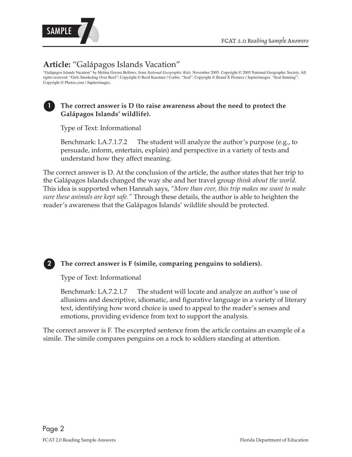

# **Article:** "Galápagos Islands Vacation"

"Galápagos Islands Vacation" by Melina Gerosa Bellows, from *National Geographic Kids,* November 2005. Copyright © 2005 National Geographic Society. All rights reserved. "Girls Snorkeling Over Reef": Copyright © Reed Kaestner / Corbis. "Seal": Copyright © Brand X Pictures / Jupiterimages. "Seal Sunning": Copyright © Photos.com / Jupiterimages.

#### The correct answer is D (to raise awareness about the need to protect the **Galápagos Islands' wildlife).**

Type of Text: Informational

Benchmark: LA.7.1.7.2 The student will analyze the author's purpose (e.g., to persuade, inform, entertain, explain) and perspective in a variety of texts and understand how they affect meaning.

The correct answer is D. At the conclusion of the article, the author states that her trip to the Galápagos Islands changed the way she and her travel group *think about the world.* This idea is supported when Hannah says, *"More than ever, this trip makes me want to make sure these animals are kept safe."* Through these details, the author is able to heighten the reader's awareness that the Galápagos Islands' wildlife should be protected.



**2 The correct answer is F (simile, comparing penguins to soldiers).** 

Type of Text: Informational

Benchmark: LA.7.2.1.7 The student will locate and analyze an author's use of allusions and descriptive, idiomatic, and figurative language in a variety of literary text, identifying how word choice is used to appeal to the reader's senses and emotions, providing evidence from text to support the analysis.

The correct answer is F. The excerpted sentence from the article contains an example of a simile. The simile compares penguins on a rock to soldiers standing at attention.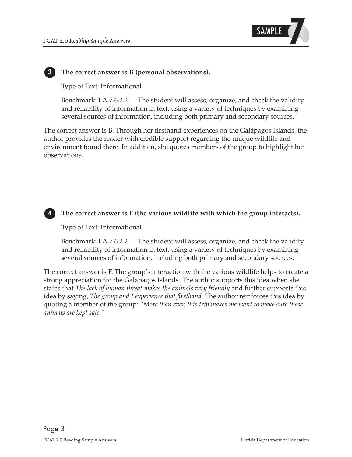

#### **3 The correct answer is B (personal observations).**

Type of Text: Informational

Benchmark: LA.7.6.2.2 The student will assess, organize, and check the validity and reliability of information in text, using a variety of techniques by examining several sources of information, including both primary and secondary sources.

The correct answer is B. Through her firsthand experiences on the Galápagos Islands, the author provides the reader with credible support regarding the unique wildlife and environment found there. In addition, she quotes members of the group to highlight her observations.



#### The correct answer is F (the various wildlife with which the group interacts).

Type of Text: Informational

Benchmark: LA.7.6.2.2 The student will assess, organize, and check the validity and reliability of information in text, using a variety of techniques by examining several sources of information, including both primary and secondary sources.

 states that *The lack of human threat makes the animals very friendly* and further supports this  quoting a member of the group: *"More than ever, this trip makes me want to make sure these animals are kept safe."*  The correct answer is F. The group's interaction with the various wildlife helps to create a strong appreciation for the Galápagos Islands. The author supports this idea when she idea by saying, *The group and I experience that firsthand.* The author reinforces this idea by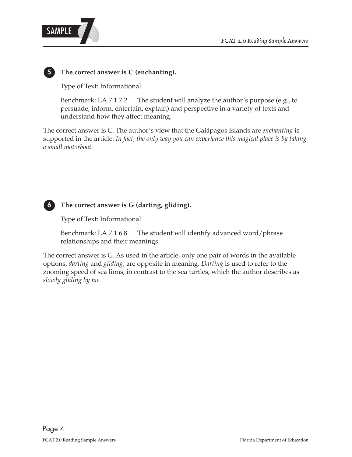

### **5 The correct answer is C (enchanting).**

Type of Text: Informational

Benchmark: LA.7.1.7.2 The student will analyze the author's purpose (e.g., to persuade, inform, entertain, explain) and perspective in a variety of texts and understand how they affect meaning.

The correct answer is C. The author's view that the Galápagos Islands are *enchanting* is supported in the article: *In fact, the only way you can experience this magical place is by taking a small motorboat.*



### **6 The correct answer is G (darting, gliding).**

Type of Text: Informational

Benchmark: LA.7.1.6.8 The student will identify advanced word/phrase relationships and their meanings.

The correct answer is G. As used in the article, only one pair of words in the available options, *darting* and *gliding*, are opposite in meaning. *Darting* is used to refer to the zooming speed of sea lions, in contrast to the sea turtles, which the author describes as *slowly gliding by me.*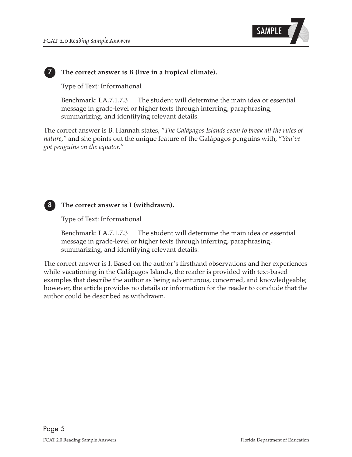

#### **7 The correct answer is B (live in a tropical climate).**

Type of Text: Informational

Benchmark: LA.7.1.7.3 The student will determine the main idea or essential message in grade-level or higher texts through inferring, paraphrasing, summarizing, and identifying relevant details.

 The correct answer is B. Hannah states, "*The Galápagos Islands seem to break all the rules of nature,"* and she points out the unique feature of the Galápagos penguins with, "*You've got penguins on the equator."* 



#### **8 The correct answer is I (withdrawn).**

Type of Text: Informational

Benchmark: LA.7.1.7.3 The student will determine the main idea or essential message in grade-level or higher texts through inferring, paraphrasing, summarizing, and identifying relevant details.

The correct answer is I. Based on the author's firsthand observations and her experiences while vacationing in the Galápagos Islands, the reader is provided with text-based examples that describe the author as being adventurous, concerned, and knowledgeable; however, the article provides no details or information for the reader to conclude that the author could be described as withdrawn.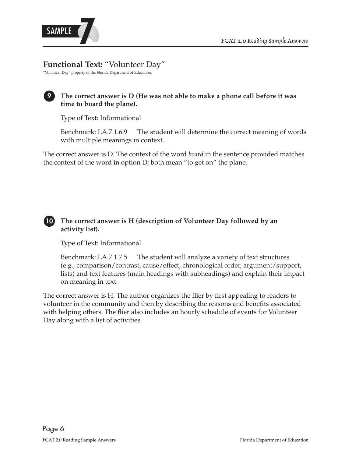

# **Functional Text:** "Volunteer Day"

"Volunteer Day" property of the Florida Department of Education.

### **time to board the plane).**  The correct answer is D (He was not able to make a phone call before it was

Type of Text: Informational

Benchmark: LA.7.1.6.9 The student will determine the correct meaning of words with multiple meanings in context.

The correct answer is D. The context of the word *board* in the sentence provided matches the context of the word in option D; both mean "to get on" the plane.

### 10 The correct answer is H (description of Volunteer Day followed by an **activity list).**

Type of Text: Informational

Benchmark: LA.7.1.7.5 The student will analyze a variety of text structures (e.g., comparison/contrast, cause/effect, chronological order, argument/support, lists) and text features (main headings with subheadings) and explain their impact on meaning in text.

The correct answer is H. The author organizes the flier by first appealing to readers to volunteer in the community and then by describing the reasons and benefits associated with helping others. The flier also includes an hourly schedule of events for Volunteer Day along with a list of activities.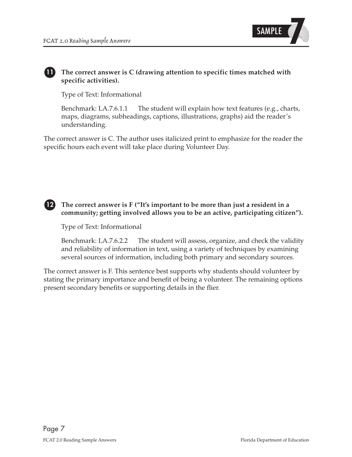

#### **11 The correct answer is C (drawing attention to specific times matched with specific activities).**

Type of Text: Informational

Benchmark: LA.7.6.1.1 The student will explain how text features (e.g., charts, maps, diagrams, subheadings, captions, illustrations, graphs) aid the reader's understanding.

The correct answer is C. The author uses italicized print to emphasize for the reader the specific hours each event will take place during Volunteer Day.



12 The correct answer is  $F$  ("It's important to be more than just a resident in a community; getting involved allows you to be an active, participating citizen").

Type of Text: Informational

Benchmark: LA.7.6.2.2 The student will assess, organize, and check the validity and reliability of information in text, using a variety of techniques by examining several sources of information, including both primary and secondary sources.

The correct answer is F. This sentence best supports why students should volunteer by stating the primary importance and benefit of being a volunteer. The remaining options present secondary benefits or supporting details in the flier.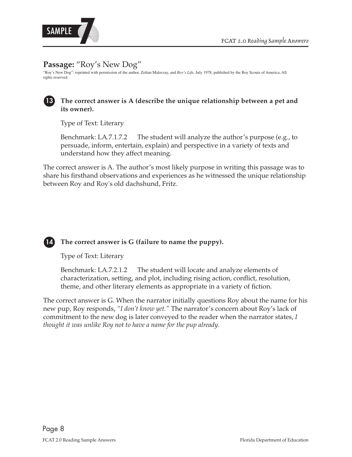



# **Passage:** "Roy's New Dog"

"Roy's New Dog": reprinted with permission of the author, Zoltan Malocsay, and *Boy's Life,* July 1978, published by the Boy Scouts of America. All rights reserved.



### **13 The correct answer is A (describe the unique relationship between a pet and its owner).**

Type of Text: Literary

Benchmark: LA.7.1.7.2 The student will analyze the author's purpose (e.g., to persuade, inform, entertain, explain) and perspective in a variety of texts and understand how they affect meaning.

The correct answer is A. The author's most likely purpose in writing this passage was to share his firsthand observations and experiences as he witnessed the unique relationship between Roy and Roy's old dachshund, Fritz.



 **14 The correct answer is G (failure to name the puppy).** 

Type of Text: Literary

Benchmark: LA.7.2.1.2 The student will locate and analyze elements of characterization, setting, and plot, including rising action, conflict, resolution, theme, and other literary elements as appropriate in a variety of fiction.

 *thought it was unlike Roy not to have a name for the pup already*. The correct answer is G. When the narrator initially questions Roy about the name for his new pup, Roy responds, *"I don't know yet."* The narrator's concern about Roy's lack of commitment to the new dog is later conveyed to the reader when the narrator states, *I*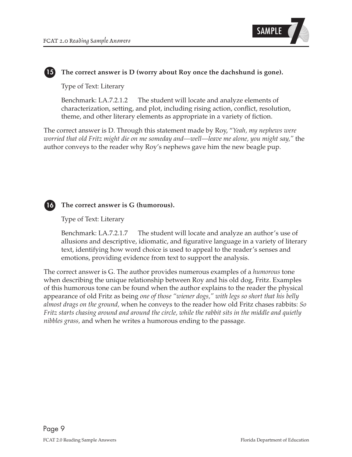

# 15 The correct answer is D (worry about Roy once the dachshund is gone).

Type of Text: Literary

Benchmark: LA.7.2.1.2 The student will locate and analyze elements of characterization, setting, and plot, including rising action, conflict, resolution, theme, and other literary elements as appropriate in a variety of fiction.

The correct answer is D. Through this statement made by Roy, "*Yeah, my nephews were worried that old Fritz might die on me someday and—well—leave me alone, you might say,"* the author conveys to the reader why Roy's nephews gave him the new beagle pup.



#### **16 The correct answer is G (humorous).**

#### Type of Text: Literary

Benchmark: LA.7.2.1.7 The student will locate and analyze an author's use of allusions and descriptive, idiomatic, and figurative language in a variety of literary text, identifying how word choice is used to appeal to the reader's senses and emotions, providing evidence from text to support the analysis.

 appearance of old Fritz as being *one of those "wiener dogs," with legs so short that his belly Fritz starts chasing around and around the circle, while the rabbit sits in the middle and quietly*  The correct answer is G. The author provides numerous examples of a *humorous* tone when describing the unique relationship between Roy and his old dog, Fritz. Examples of this humorous tone can be found when the author explains to the reader the physical *almost drags on the ground,* when he conveys to the reader how old Fritz chases rabbits: *So nibbles grass,* and when he writes a humorous ending to the passage.